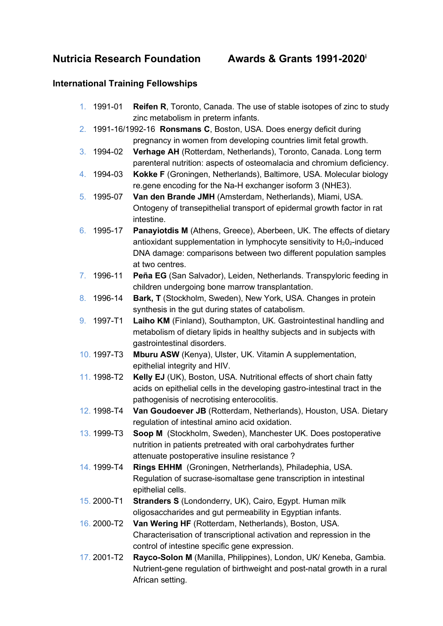## Nutricia Research Foundation Awards & Grants 1991-2020<sup>i</sup>

## International Training Fellowships

- 1. 1991-01 Reifen R, Toronto, Canada. The use of stable isotopes of zinc to study zinc metabolism in preterm infants.
- 2. 1991-16/1992-16 Ronsmans C, Boston, USA. Does energy deficit during pregnancy in women from developing countries limit fetal growth.
- 3. 1994-02 Verhage AH (Rotterdam, Netherlands), Toronto, Canada. Long term parenteral nutrition: aspects of osteomalacia and chromium deficiency.
- 4. 1994-03 Kokke F (Groningen, Netherlands), Baltimore, USA. Molecular biology re.gene encoding for the Na-H exchanger isoform 3 (NHE3).
- 5. 1995-07 Van den Brande JMH (Amsterdam, Netherlands), Miami, USA. Ontogeny of transepithelial transport of epidermal growth factor in rat intestine.
- 6. 1995-17 Panayiotdis M (Athens, Greece), Aberbeen, UK. The effects of dietary antioxidant supplementation in lymphocyte sensitivity to  $H_2O_2$ -induced DNA damage: comparisons between two different population samples at two centres.
- 7. 1996-11 Peña EG (San Salvador), Leiden, Netherlands. Transpyloric feeding in children undergoing bone marrow transplantation.
- 8. 1996-14 Bark, T (Stockholm, Sweden), New York, USA. Changes in protein synthesis in the gut during states of catabolism.
- 9. 1997-T1 Laiho KM (Finland), Southampton, UK. Gastrointestinal handling and metabolism of dietary lipids in healthy subjects and in subjects with gastrointestinal disorders.
- 10. 1997-T3 Mburu ASW (Kenya), Ulster, UK. Vitamin A supplementation, epithelial integrity and HIV.
- 11. 1998-T2 Kelly EJ (UK), Boston, USA. Nutritional effects of short chain fatty acids on epithelial cells in the developing gastro-intestinal tract in the pathogenisis of necrotising enterocolitis.
- 12. 1998-T4 Van Goudoever JB (Rotterdam, Netherlands), Houston, USA. Dietary regulation of intestinal amino acid oxidation.
- 13. 1999-T3 Soop M (Stockholm, Sweden), Manchester UK. Does postoperative nutrition in patients pretreated with oral carbohydrates further attenuate postoperative insuline resistance ?
- 14. 1999-T4 Rings EHHM (Groningen, Netrherlands), Philadephia, USA. Regulation of sucrase-isomaltase gene transcription in intestinal epithelial cells.
- 15. 2000-T1 Stranders S (Londonderry, UK), Cairo, Egypt. Human milk oligosaccharides and gut permeability in Egyptian infants.
- 16. 2000-T2 Van Wering HF (Rotterdam, Netherlands), Boston, USA. Characterisation of transcriptional activation and repression in the control of intestine specific gene expression.
- 17. 2001-T2 Rayco-Solon M (Manilla, Philippines), London, UK/ Keneba, Gambia. Nutrient-gene regulation of birthweight and post-natal growth in a rural African setting.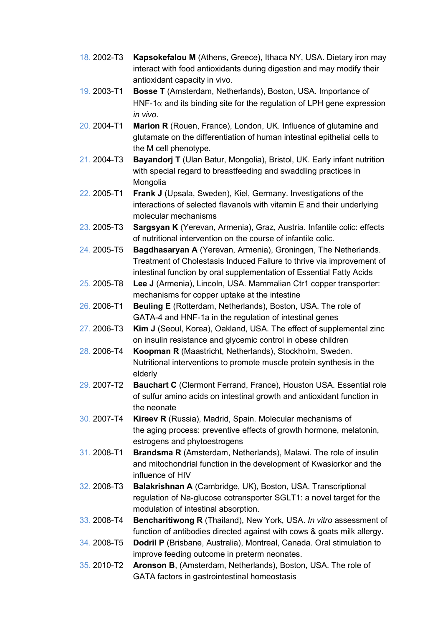- 18. 2002-T3 Kapsokefalou M (Athens, Greece), Ithaca NY, USA. Dietary iron may interact with food antioxidants during digestion and may modify their antioxidant capacity in vivo.
- 19. 2003-T1 Bosse T (Amsterdam, Netherlands), Boston, USA. Importance of HNF-1 $\alpha$  and its binding site for the regulation of LPH gene expression in vivo.
- 20. 2004-T1 **Marion R** (Rouen, France), London, UK. Influence of glutamine and glutamate on the differentiation of human intestinal epithelial cells to the M cell phenotype.
- 21. 2004-T3 Bayandorj T (Ulan Batur, Mongolia), Bristol, UK. Early infant nutrition with special regard to breastfeeding and swaddling practices in Mongolia
- 22. 2005-T1 Frank J (Upsala, Sweden), Kiel, Germany. Investigations of the interactions of selected flavanols with vitamin E and their underlying molecular mechanisms
- 23. 2005-T3 Sargsyan K (Yerevan, Armenia), Graz, Austria. Infantile colic: effects of nutritional intervention on the course of infantile colic.
- 24. 2005-T5 Bagdhasaryan A (Yerevan, Armenia), Groningen, The Netherlands. Treatment of Cholestasis Induced Failure to thrive via improvement of intestinal function by oral supplementation of Essential Fatty Acids
- 25. 2005-T8 Lee J (Armenia), Lincoln, USA. Mammalian Ctr1 copper transporter: mechanisms for copper uptake at the intestine
- 26. 2006-T1 Beuling E (Rotterdam, Netherlands), Boston, USA. The role of GATA-4 and HNF-1a in the regulation of intestinal genes
- 27. 2006-T3 Kim J (Seoul, Korea), Oakland, USA. The effect of supplemental zinc on insulin resistance and glycemic control in obese children
- 28. 2006-T4 Koopman R (Maastricht, Netherlands), Stockholm, Sweden. Nutritional interventions to promote muscle protein synthesis in the elderly
- 29. 2007-T2 Bauchart C (Clermont Ferrand, France), Houston USA. Essential role of sulfur amino acids on intestinal growth and antioxidant function in the neonate
- 30. 2007-T4 Kireev R (Russia), Madrid, Spain. Molecular mechanisms of the aging process: preventive effects of growth hormone, melatonin, estrogens and phytoestrogens
- 31. 2008-T1 Brandsma R (Amsterdam, Netherlands), Malawi. The role of insulin and mitochondrial function in the development of Kwasiorkor and the influence of HIV
- 32. 2008-T3 Balakrishnan A (Cambridge, UK), Boston, USA. Transcriptional regulation of Na-glucose cotransporter SGLT1: a novel target for the modulation of intestinal absorption.
- 33. 2008-T4 Bencharitiwong R (Thailand), New York, USA. In vitro assessment of function of antibodies directed against with cows & goats milk allergy.
- 34. 2008-T5 Dodril P (Brisbane, Australia), Montreal, Canada. Oral stimulation to improve feeding outcome in preterm neonates.
- 35. 2010-T2 Aronson B, (Amsterdam, Netherlands), Boston, USA. The role of GATA factors in gastrointestinal homeostasis